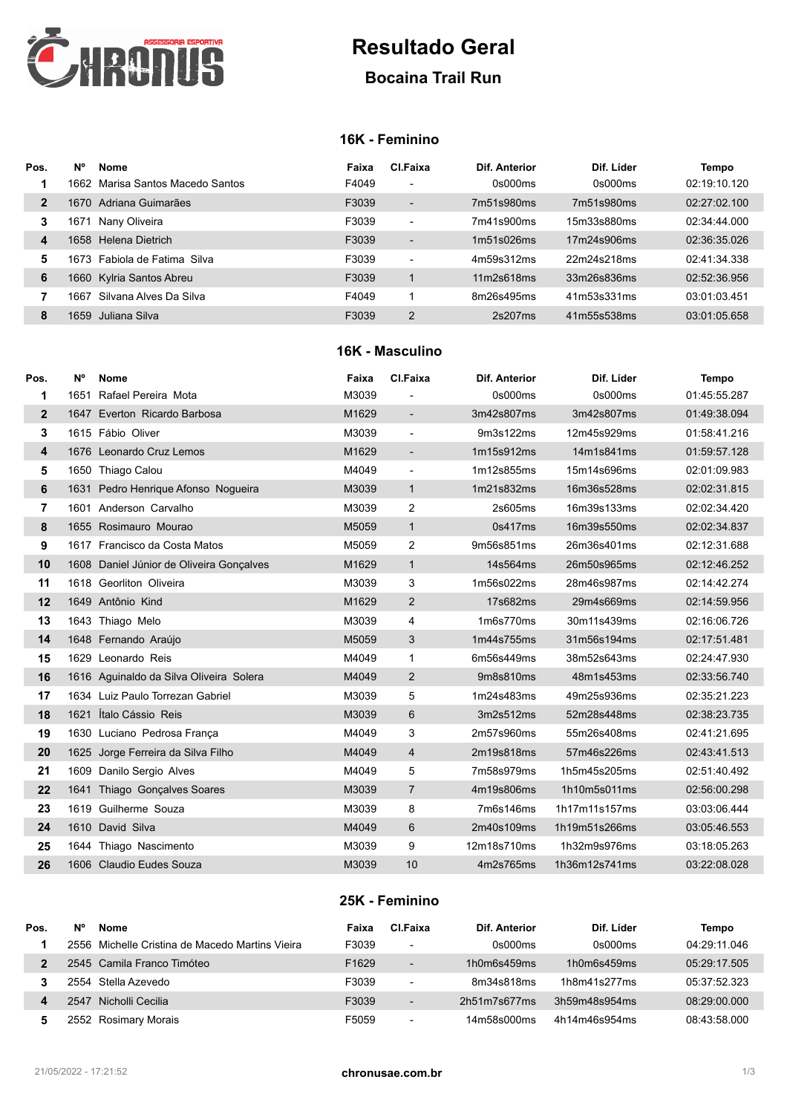

# **Resultado Geral**

## **Bocaina Trail Run**

### **16K - Feminino**

| Pos.         | <b>N°</b> | <b>Nome</b>                        | Faixa | Cl.Faixa                 | Dif. Anterior | Dif. Líder  | Tempo        |
|--------------|-----------|------------------------------------|-------|--------------------------|---------------|-------------|--------------|
| 1            |           | 1662 - Marisa Santos Macedo Santos | F4049 | $\overline{\phantom{0}}$ | 0s000ms       | 0s000ms     | 02:19:10.120 |
| $\mathbf{2}$ | 1670.     | Adriana Guimarães                  | F3039 | $\overline{\phantom{a}}$ | 7m51s980ms    | 7m51s980ms  | 02:27:02.100 |
| 3            | 1671      | Nany Oliveira                      | F3039 | ٠                        | 7m41s900ms    | 15m33s880ms | 02:34:44.000 |
| 4            |           | 1658 Helena Dietrich               | F3039 | $\overline{\phantom{0}}$ | 1m51s026ms    | 17m24s906ms | 02:36:35.026 |
| 5            |           | 1673 :Fabiola de Fatima :Silva     | F3039 | $\overline{\phantom{0}}$ | 4m59s312ms    | 22m24s218ms | 02:41:34.338 |
| 6            | 1660      | Kylria Santos Abreu                | F3039 |                          | 11m2s618ms    | 33m26s836ms | 02:52:36.956 |
|              | 1667      | Silvana Alves Da Silva             | F4049 |                          | 8m26s495ms    | 41m53s331ms | 03:01:03.451 |
| 8            | 1659      | -Juliana Silva                     | F3039 | $\overline{2}$           | 2s207ms       | 41m55s538ms | 03:01:05.658 |

#### **16K - Masculino**

| Pos.           | N° | <b>Nome</b>                              | Faixa | CI.Faixa                 | Dif. Anterior | Dif. Líder    | Tempo        |
|----------------|----|------------------------------------------|-------|--------------------------|---------------|---------------|--------------|
| 1              |    | 1651 Rafael Pereira Mota                 | M3039 |                          | 0s000ms       | 0s000ms       | 01:45:55.287 |
| $\overline{2}$ |    | 1647 Everton Ricardo Barbosa             | M1629 | $\overline{\phantom{a}}$ | 3m42s807ms    | 3m42s807ms    | 01:49:38.094 |
| 3              |    | 1615 Fábio Oliver                        | M3039 | $\overline{\phantom{a}}$ | 9m3s122ms     | 12m45s929ms   | 01:58:41.216 |
| 4              |    | 1676 Leonardo Cruz Lemos                 | M1629 | $\overline{\phantom{a}}$ | 1m15s912ms    | 14m1s841ms    | 01:59:57.128 |
| 5              |    | 1650 Thiago Calou                        | M4049 | $\overline{\phantom{a}}$ | 1m12s855ms    | 15m14s696ms   | 02:01:09.983 |
| 6              |    | 1631 Pedro Henrique Afonso Nogueira      | M3039 | $\mathbf{1}$             | 1m21s832ms    | 16m36s528ms   | 02:02:31.815 |
| $\overline{7}$ |    | 1601 Anderson Carvalho                   | M3039 | 2                        | 2s605ms       | 16m39s133ms   | 02:02:34.420 |
| 8              |    | 1655 Rosimauro Mourao                    | M5059 | $\mathbf{1}$             | 0s417ms       | 16m39s550ms   | 02:02:34.837 |
| 9              |    | 1617 Francisco da Costa Matos            | M5059 | $\overline{2}$           | 9m56s851ms    | 26m36s401ms   | 02:12:31.688 |
| 10             |    | 1608 Daniel Júnior de Oliveira Gonçalves | M1629 | $\mathbf{1}$             | 14s564ms      | 26m50s965ms   | 02:12:46.252 |
| 11             |    | 1618 Georliton Oliveira                  | M3039 | 3                        | 1m56s022ms    | 28m46s987ms   | 02:14:42.274 |
| 12             |    | 1649 Antônio Kind                        | M1629 | $\overline{2}$           | 17s682ms      | 29m4s669ms    | 02:14:59.956 |
| 13             |    | 1643 Thiago Melo                         | M3039 | 4                        | 1m6s770ms     | 30m11s439ms   | 02:16:06.726 |
| 14             |    | 1648 Fernando Araújo                     | M5059 | 3                        | 1m44s755ms    | 31m56s194ms   | 02:17:51.481 |
| 15             |    | 1629 Leonardo Reis                       | M4049 | 1                        | 6m56s449ms    | 38m52s643ms   | 02:24:47.930 |
| 16             |    | 1616 Aguinaldo da Silva Oliveira Solera  | M4049 | $\overline{2}$           | 9m8s810ms     | 48m1s453ms    | 02:33:56.740 |
| 17             |    | 1634 Luiz Paulo Torrezan Gabriel         | M3039 | 5                        | 1m24s483ms    | 49m25s936ms   | 02:35:21.223 |
| 18             |    | 1621 Ítalo Cássio Reis                   | M3039 | 6                        | 3m2s512ms     | 52m28s448ms   | 02:38:23.735 |
| 19             |    | 1630 Luciano Pedrosa França              | M4049 | 3                        | 2m57s960ms    | 55m26s408ms   | 02:41:21.695 |
| 20             |    | 1625 Jorge Ferreira da Silva Filho       | M4049 | $\overline{4}$           | 2m19s818ms    | 57m46s226ms   | 02:43:41.513 |
| 21             |    | 1609 Danilo Sergio Alves                 | M4049 | 5                        | 7m58s979ms    | 1h5m45s205ms  | 02:51:40.492 |
| 22             |    | 1641 Thiago Gonçalves Soares             | M3039 | $\overline{7}$           | 4m19s806ms    | 1h10m5s011ms  | 02:56:00.298 |
| 23             |    | 1619 Guilherme Souza                     | M3039 | 8                        | 7m6s146ms     | 1h17m11s157ms | 03:03:06.444 |
| 24             |    | 1610 David Silva                         | M4049 | 6                        | 2m40s109ms    | 1h19m51s266ms | 03:05:46.553 |
| 25             |    | 1644 Thiago Nascimento                   | M3039 | 9                        | 12m18s710ms   | 1h32m9s976ms  | 03:18:05.263 |
| 26             |    | 1606 Claudio Eudes Souza                 | M3039 | 10                       | 4m2s765ms     | 1h36m12s741ms | 03:22:08.028 |

#### **25K - Feminino**

| Pos. | <b>N°</b> | <b>Nome</b>                                     | Faixa             | Cl.Faixa                 | Dif. Anterior | Dif. Líder    | Tempo        |
|------|-----------|-------------------------------------------------|-------------------|--------------------------|---------------|---------------|--------------|
|      |           | 2556 Michelle Cristina de Macedo Martins Vieira | F3039             | $\overline{\phantom{a}}$ | 0s000ms       | 0s000ms       | 04:29:11.046 |
|      |           | 2545 Camila Franco Timóteo                      | F <sub>1629</sub> | $\overline{\phantom{a}}$ | 1h0m6s459ms   | 1h0m6s459ms   | 05:29:17.505 |
|      |           | 2554 Stella Azevedo                             | F3039             | $\overline{\phantom{a}}$ | 8m34s818ms    | 1h8m41s277ms  | 05:37:52.323 |
|      | 2547      | Nicholli Cecilia                                | F3039             | $\overline{\phantom{0}}$ | 2h51m7s677ms  | 3h59m48s954ms | 08:29:00.000 |
|      |           | 2552 Rosimary Morais                            | F5059             | $\overline{\phantom{a}}$ | 14m58s000ms   | 4h14m46s954ms | 08:43:58.000 |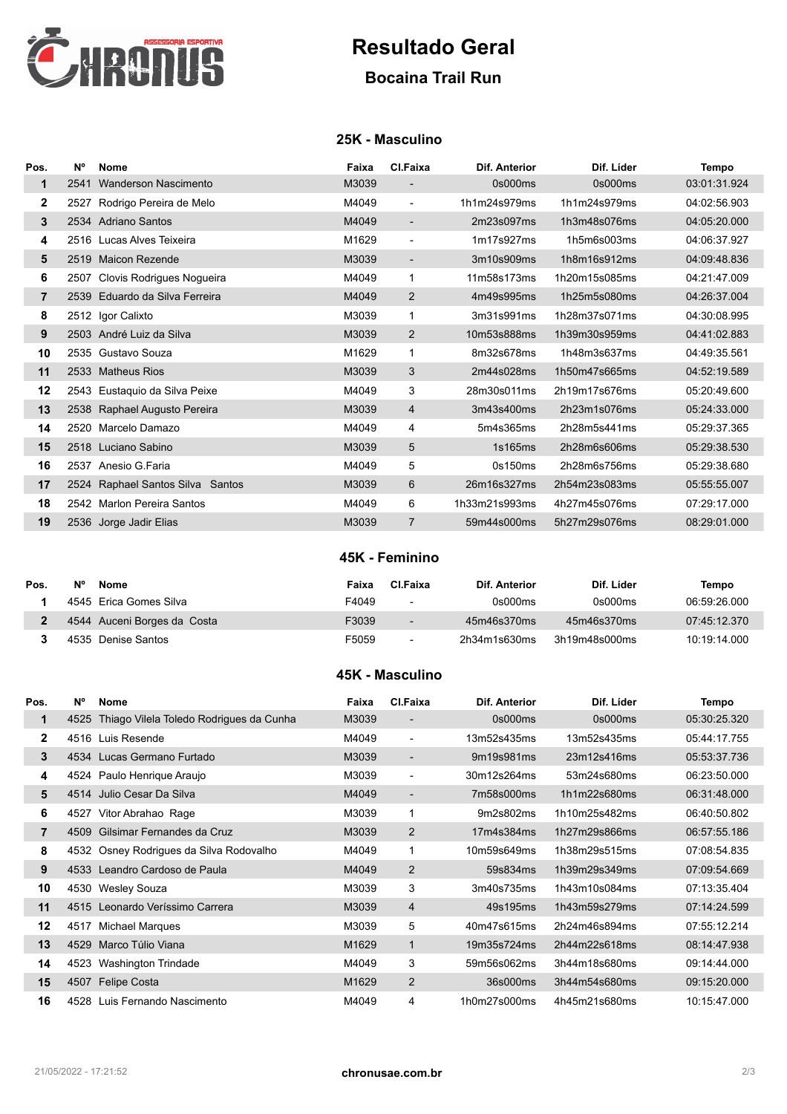

## **Resultado Geral**

## **Bocaina Trail Run**

### **25K - Masculino**

| Pos.           | N°   | Nome                             | Faixa | CI.Faixa                 | Dif. Anterior | Dif. Líder    | Tempo        |
|----------------|------|----------------------------------|-------|--------------------------|---------------|---------------|--------------|
| 1              | 2541 | <b>Wanderson Nascimento</b>      | M3039 | -                        | 0s000ms       | 0s000ms       | 03:01:31.924 |
| 2              | 2527 | Rodrigo Pereira de Melo          | M4049 | $\blacksquare$           | 1h1m24s979ms  | 1h1m24s979ms  | 04:02:56.903 |
| 3              |      | 2534 Adriano Santos              | M4049 | $\overline{\phantom{0}}$ | 2m23s097ms    | 1h3m48s076ms  | 04:05:20.000 |
| 4              |      | 2516 Lucas Alves Teixeira        | M1629 | $\blacksquare$           | 1m17s927ms    | 1h5m6s003ms   | 04:06:37.927 |
| 5              |      | 2519 Maicon Rezende              | M3039 | $\overline{\phantom{0}}$ | 3m10s909ms    | 1h8m16s912ms  | 04:09:48.836 |
| 6              | 2507 | Clovis Rodrigues Nogueira        | M4049 | 1                        | 11m58s173ms   | 1h20m15s085ms | 04:21:47.009 |
| $\overline{7}$ |      | 2539 Eduardo da Silva Ferreira   | M4049 | $\overline{2}$           | 4m49s995ms    | 1h25m5s080ms  | 04:26:37.004 |
| 8              |      | 2512 Igor Calixto                | M3039 | 1                        | 3m31s991ms    | 1h28m37s071ms | 04:30:08.995 |
| 9              |      | 2503 André Luiz da Silva         | M3039 | 2                        | 10m53s888ms   | 1h39m30s959ms | 04:41:02.883 |
| 10             |      | 2535 Gustavo Souza               | M1629 | 1                        | 8m32s678ms    | 1h48m3s637ms  | 04:49:35.561 |
| 11             |      | 2533 Matheus Rios                | M3039 | 3                        | 2m44s028ms    | 1h50m47s665ms | 04:52:19.589 |
| 12             |      | 2543 Eustaquio da Silva Peixe    | M4049 | 3                        | 28m30s011ms   | 2h19m17s676ms | 05:20:49.600 |
| 13             |      | 2538 Raphael Augusto Pereira     | M3039 | 4                        | 3m43s400ms    | 2h23m1s076ms  | 05:24:33.000 |
| 14             |      | 2520 Marcelo Damazo              | M4049 | 4                        | 5m4s365ms     | 2h28m5s441ms  | 05:29:37.365 |
| 15             |      | 2518 Luciano Sabino              | M3039 | 5                        | 1s165ms       | 2h28m6s606ms  | 05:29:38.530 |
| 16             | 2537 | Anesio G.Faria                   | M4049 | 5                        | 0s150ms       | 2h28m6s756ms  | 05:29:38.680 |
| 17             |      | 2524 Raphael Santos Silva Santos | M3039 | 6                        | 26m16s327ms   | 2h54m23s083ms | 05:55:55.007 |
| 18             |      | 2542 Marlon Pereira Santos       | M4049 | 6                        | 1h33m21s993ms | 4h27m45s076ms | 07:29:17.000 |
| 19             |      | 2536 Jorge Jadir Elias           | M3039 | $\overline{7}$           | 59m44s000ms   | 5h27m29s076ms | 08:29:01.000 |

#### **45K - Feminino**

| Pos. | N° | Nome                        | Faixa | Cl.Faixa                 | Dif. Anterior | Dif. Líder    | Tempo        |
|------|----|-----------------------------|-------|--------------------------|---------------|---------------|--------------|
|      |    | 4545 Erica Gomes Silva      | F4049 | ۰                        | 0s000ms       | 0s000ms       | 06:59:26.000 |
|      |    | 4544 Auceni Borges da Costa | F3039 | $\overline{\phantom{0}}$ | 45m46s370ms   | 45m46s370ms   | 07:45:12.370 |
|      |    | 4535 Denise Santos          | F5059 |                          | 2h34m1s630ms  | 3h19m48s000ms | 10:19:14.000 |

#### **45K - Masculino**

| Pos.           | <b>N°</b> | Nome                                         | Faixa | Cl.Faixa                 | Dif. Anterior | Dif. Líder    | Tempo        |
|----------------|-----------|----------------------------------------------|-------|--------------------------|---------------|---------------|--------------|
| 1              |           | 4525 Thiago Vilela Toledo Rodrigues da Cunha | M3039 | $\overline{\phantom{0}}$ | 0s000ms       | 0s000ms       | 05:30:25.320 |
| $\mathbf{2}$   |           | 4516 Luis Resende                            | M4049 | ۰                        | 13m52s435ms   | 13m52s435ms   | 05:44:17.755 |
| 3              |           | 4534 Lucas Germano Furtado                   | M3039 | -                        | 9m19s981ms    | 23m12s416ms   | 05:53:37.736 |
| 4              |           | 4524 Paulo Henrique Araujo                   | M3039 | ۰                        | 30m12s264ms   | 53m24s680ms   | 06:23:50.000 |
| 5              |           | 4514 Julio Cesar Da Silva                    | M4049 | $\overline{\phantom{0}}$ | 7m58s000ms    | 1h1m22s680ms  | 06:31:48.000 |
| 6              | 4527      | Vitor Abrahao Rage                           | M3039 | 1                        | 9m2s802ms     | 1h10m25s482ms | 06:40:50.802 |
| $\overline{7}$ |           | 4509 Gilsimar Fernandes da Cruz              | M3039 | 2                        | 17m4s384ms    | 1h27m29s866ms | 06:57:55.186 |
| 8              |           | 4532 Osney Rodrigues da Silva Rodovalho      | M4049 |                          | 10m59s649ms   | 1h38m29s515ms | 07:08:54.835 |
| 9              |           | 4533 Leandro Cardoso de Paula                | M4049 | $\overline{2}$           | 59s834ms      | 1h39m29s349ms | 07:09:54.669 |
| 10             | 4530      | Wesley Souza                                 | M3039 | 3                        | 3m40s735ms    | 1h43m10s084ms | 07:13:35.404 |
| 11             |           | 4515 Leonardo Veríssimo Carrera              | M3039 | $\overline{4}$           | 49s195ms      | 1h43m59s279ms | 07:14:24.599 |
| 12             | 4517      | Michael Marques                              | M3039 | 5                        | 40m47s615ms   | 2h24m46s894ms | 07:55:12.214 |
| 13             | 4529      | Marco Túlio Viana                            | M1629 | 1                        | 19m35s724ms   | 2h44m22s618ms | 08:14:47.938 |
| 14             | 4523      | Washington Trindade                          | M4049 | 3                        | 59m56s062ms   | 3h44m18s680ms | 09:14:44.000 |
| 15             | 4507      | <b>Felipe Costa</b>                          | M1629 | $\overline{2}$           | 36s000ms      | 3h44m54s680ms | 09:15:20.000 |
| 16             |           | 4528 Luis Fernando Nascimento                | M4049 | 4                        | 1h0m27s000ms  | 4h45m21s680ms | 10:15:47.000 |